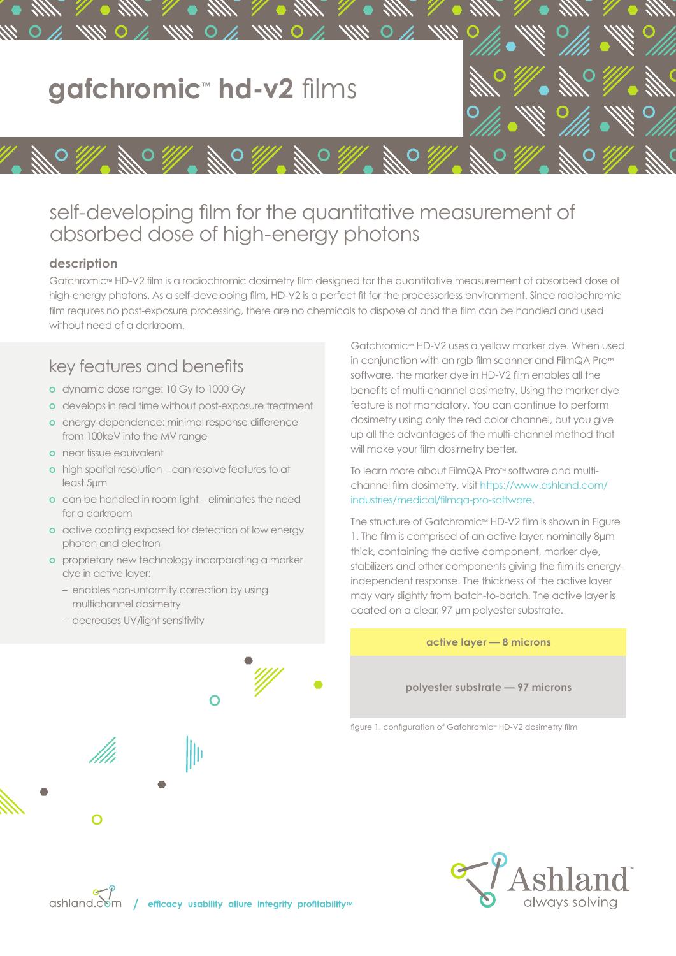

# self-developing film for the quantitative measurement of absorbed dose of high-energy photons

#### **description**

Gafchromic™ HD-V2 film is a radiochromic dosimetry film designed for the quantitative measurement of absorbed dose of high-energy photons. As a self-developing film, HD-V2 is a perfect fit for the processorless environment. Since radiochromic film requires no post-exposure processing, there are no chemicals to dispose of and the film can be handled and used without need of a darkroom.

## key features and benefits

- **o** dynamic dose range: 10 Gy to 1000 Gy
- **o** develops in real time without post-exposure treatment
- **o** energy-dependence: minimal response difference from 100keV into the MV range
- **o** near tissue equivalent
- **o** high spatial resolution can resolve features to at least 5μm
- **o** can be handled in room light eliminates the need for a darkroom
- **o** active coating exposed for detection of low energy photon and electron
- **o** proprietary new technology incorporating a marker dye in active layer:
	- enables non-unformity correction by using multichannel dosimetry
	- decreases UV/light sensitivity

 $\overline{O}$ llı  $\bigcap$ 



Gafchromic™ HD-V2 uses a yellow marker dye. When used in conjunction with an rgb film scanner and FilmQA Pro™ software, the marker dye in HD-V2 film enables all the benefits of multi-channel dosimetry. Using the marker dye feature is not mandatory. You can continue to perform dosimetry using only the red color channel, but you give up all the advantages of the multi-channel method that will make your film dosimetry better.

To learn more about FilmQA Pro™ software and multichannel film dosimetry, visit https://www.ashland.com/ industries/medical/filmqa-pro-software.

The structure of Gafchromic™ HD-V2 film is shown in Figure 1. The film is comprised of an active layer, nominally 8μm thick, containing the active component, marker dye, stabilizers and other components giving the film its energyindependent response. The thickness of the active layer may vary slightly from batch-to-batch. The active layer is coated on a clear, 97 μm polyester substrate.

**active layer — 8 microns**

**polyester substrate — 97 microns**

figure 1. configuration of Gafchromic™ HD-V2 dosimetry film

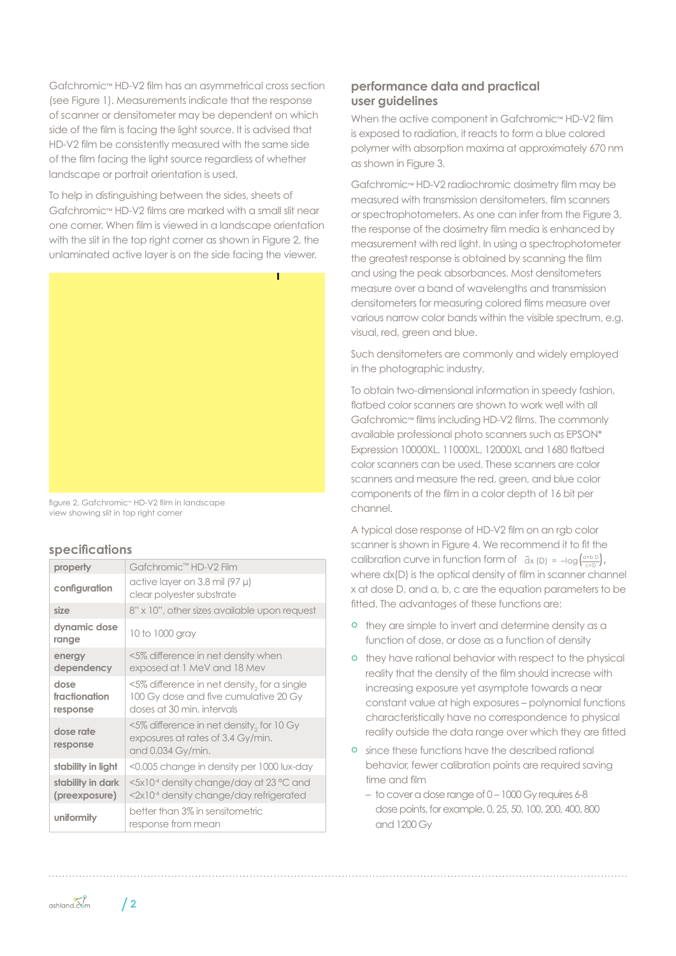Gafchromic™ HD-V2 film has an asymmetrical cross section (see Figure 1). Measurements indicate that the response of scanner or densitometer may be dependent on which side of the film is facing the light source. It is advised that HD-V2 film be consistently measured with the same side of the film facing the light source regardless of whether landscape or portrait orientation is used.

To help in distinguishing between the sides, sheets of Gafchromic™ HD-V2 films are marked with a small slit near one corner. When film is viewed in a landscape orientation with the slit in the top right corner as shown in Figure 2, the unlaminated active layer is on the side facing the viewer.



figure 2. Gafchromic™ HD-V2 film in landscape view showing slit in top right corner

#### **specifications**

| property                           | Gafchromic <sup>™</sup> HD-V2 Film                                                                                       |
|------------------------------------|--------------------------------------------------------------------------------------------------------------------------|
| configuration                      | active layer on 3.8 mil (97 µ)<br>clear polyester substrate                                                              |
| size                               | 8" x 10", other sizes available upon request                                                                             |
| dynamic dose<br>range              | 10 to 1000 gray                                                                                                          |
| energy<br>dependency               | <5% difference in net density when<br>exposed at 1 MeV and 18 Mev                                                        |
| dose<br>fractionation<br>response  | $\leq$ 5% difference in net density, for a single<br>100 Gy dose and five cumulative 20 Gy<br>doses at 30 min. intervals |
| dose rate<br>response              | $\leq$ 5% difference in net density, for 10 Gy<br>exposures at rates of 3.4 Gy/min.<br>and 0.034 Gy/min.                 |
| stability in light                 | <0.005 change in density per 1000 lux-day                                                                                |
| stability in dark<br>(preexposure) | <5x10 <sup>-4</sup> density change/day at 23 °C and<br><2x10 <sup>-4</sup> density change/day refrigerated               |
| uniformity                         | better than 3% in sensitometric<br>response from mean                                                                    |

### **performance data and practical user guidelines**

When the active component in Gafchromic™ HD-V2 film is exposed to radiation, it reacts to form a blue colored polymer with absorption maxima at approximately 670 nm as shown in Figure 3.

Gafchromic™ HD-V2 radiochromic dosimetry film may be measured with transmission densitometers, film scanners or spectrophotometers. As one can infer from the Figure 3, the response of the dosimetry film media is enhanced by measurement with red light. In using a spectrophotometer the greatest response is obtained by scanning the film and using the peak absorbances. Most densitometers measure over a band of wavelengths and transmission densitometers for measuring colored films measure over various narrow color bands within the visible spectrum, e.g. visual, red, green and blue.

Such densitometers are commonly and widely employed in the photographic industry.

To obtain two-dimensional information in speedy fashion, flatbed color scanners are shown to work well with all Gafchromic™ films including HD-V2 films. The commonly available professional photo scanners such as EPSON\* Expression 10000XL, 11000XL, 12000XL and 1680 flatbed color scanners can be used. These scanners are color scanners and measure the red, green, and blue color components of the film in a color depth of 16 bit per channel.

A typical dose response of HD-V2 film on an rgb color scanner is shown in Figure 4. We recommend it to fit the calibration curve in function form of  $\bar{d}x$  (D) =  $-\log\left(\frac{a+b}{c+b}\right)$ , where  $dx(D)$  is the optical density of film in scanner channel x at dose D, and a, b, c are the equation parameters to be fitted. The advantages of these functions are:

- **o** they are simple to invert and determine density as a function of dose, or dose as a function of density
- **o** they have rational behavior with respect to the physical reality that the density of the film should increase with increasing exposure yet asymptote towards a near constant value at high exposures – polynomial functions characteristically have no correspondence to physical reality outside the data range over which they are fitted
- **o** since these functions have the described rational behavior, fewer calibration points are required saving time and film
	- to cover a dose range of 0 1000 Gy requires 6-8 dose points, for example, 0, 25, 50, 100, 200, 400, 800 and 1200 Gy

 $\mathcal{C}$  ashland.com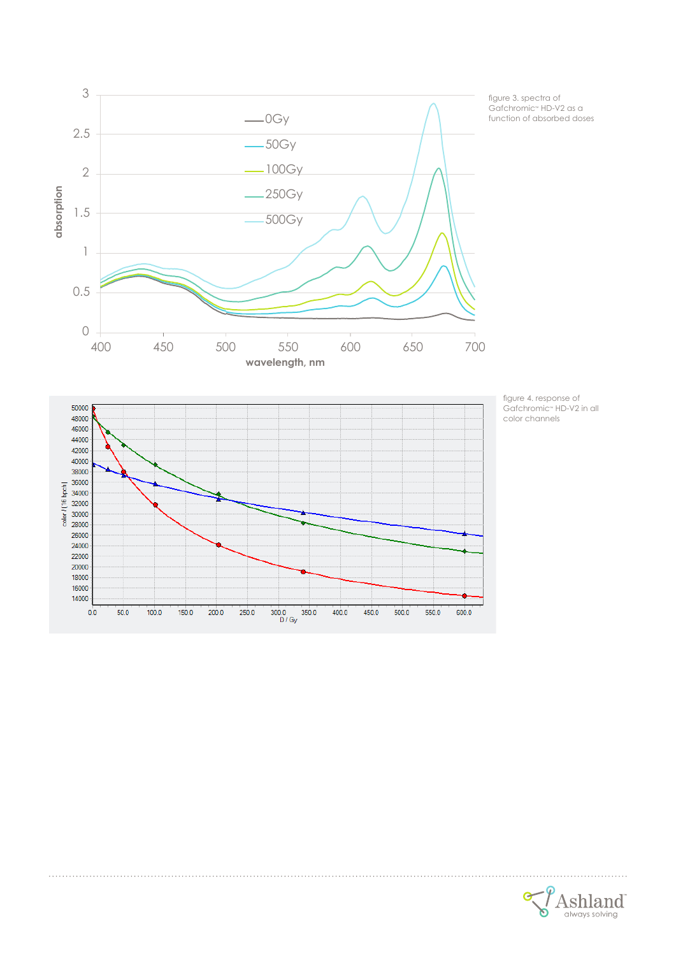

figure 4. response of Gafchromic™ HD-V2 in all color channels